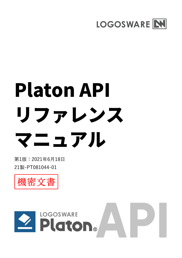

# Platon API リファレンス マニュアル

第1版:2021年6月18日 21製-PT081044-01



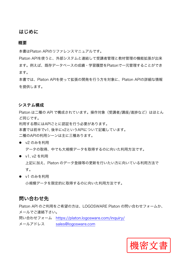## はじめに

#### **概要**

本書はPlaton APIのリファレンスマニュアルです。

Platon APIを使うと、外部システムと連結して受講者管理と教材管理の機能拡張が出来 ます。例えば、既存データベースの成績・学習履歴をPlatonで一元管理することができ ます。

本書では、Platon APIを使って拡張の開発を行う方を対象に、Platon APIの詳細な情報 を提供します。

#### **システム構成**

Platon は二種の API で構成されています。操作対象(受講者/講座/進捗など)はほとん ど同じです。 利用する際にはAPIごとに認証を行う必要があります。 本書では前半でv1, 後半にv2というAPIについて記載しています。 二種のAPIの利用シーンは主に三種あります。

**●** v2 のみを利用

データの取得、中でも大規模データを取得するのに向いた利用方法です。

- v1. v2 を利用 上記に加え、Platon のデータ登録等の更新を行いたい方に向いている利用方法で す。
- v1のみを利用

小規模データを限定的に取得するのに向いた利用方法です。

## 問い合わせ先

Platon API のご利用をご希望の方は、LOGOSWARE Platon の問い合わせフォームか、 メールでご連絡下さ[い。](https://platon.logosware.com/inquiry/)

問い合わせフォーム [https://platon.logoswa](mailto:nsales@logosware.com)re.com/inquiry/

メールアドレス sales@logosware.com

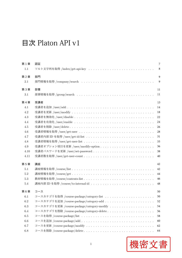# 目次 Platon API v1

| 第1章     | 認証                                                              | 7  |
|---------|-----------------------------------------------------------------|----|
| 1.1     | ソルト文字列を取得 /index/get-api-key                                    | 8  |
| 第2章     | 部門                                                              | 9  |
| $2.1\,$ |                                                                 | 9  |
| 第3章     | 部署                                                              | 11 |
| 3.1     |                                                                 | 11 |
| 第4章     | 受講者                                                             | 13 |
| 4.1     |                                                                 | 14 |
| 4.2     |                                                                 | 18 |
| 4.3     |                                                                 | 22 |
| 4.4     |                                                                 | 24 |
| $4.5\,$ |                                                                 | 26 |
| 4.6     |                                                                 | 28 |
| 4.7     |                                                                 | 31 |
| 4.8     |                                                                 | 33 |
| 4.9     |                                                                 | 36 |
| 4.10    |                                                                 | 38 |
| 4.11    |                                                                 | 40 |
| 第5章     | 講座                                                              | 42 |
| $5.1\,$ |                                                                 | 42 |
| $5.2\,$ |                                                                 | 44 |
| $5.3\,$ |                                                                 | 46 |
| 5.4     | 講座内部 ID を取得 /course/to-internal-id ............................ | 48 |
| 第6章     | コース                                                             | 50 |
| 6.1     | コースカテゴリを取得 /course-package/category-list                        | 50 |
| 6.2     |                                                                 | 52 |
| 6.3     |                                                                 | 54 |
| 6.4     |                                                                 | 56 |
| 6.5     |                                                                 | 58 |
| 6.6     |                                                                 | 60 |
| 6.7     |                                                                 | 62 |
| $6.8\,$ |                                                                 | 64 |

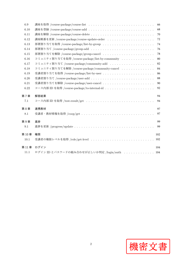| 講座を取得 /course-package/course-list ............................. | 66  |
|-----------------------------------------------------------------|-----|
|                                                                 | 68  |
|                                                                 | 70  |
|                                                                 | 72  |
|                                                                 | 74  |
|                                                                 | 76  |
|                                                                 | 78  |
| コミュニティ割り当てを取得 /course-package/list-by-community                 | 80  |
| コミュニティ割り当て /course-package/community-add                        | 82  |
| コミュニティ割り当てを解除 /course-package/community-cancel                  | 84  |
|                                                                 | 86  |
|                                                                 | 88  |
|                                                                 | 90  |
|                                                                 | 92  |
| 解答結果                                                            | 94  |
|                                                                 | 94  |
| 連携教材                                                            | 97  |
|                                                                 | 97  |
| 進捗                                                              | 99  |
|                                                                 | 99  |
| 権限                                                              | 102 |
| 受講者の権限レベルを取得 /role/get-level                                    | 102 |
| ログイン                                                            | 104 |
| ログイン ID とパスワードの組み合わせが正しいか判定 /login/auth  104                    |     |
|                                                                 |     |

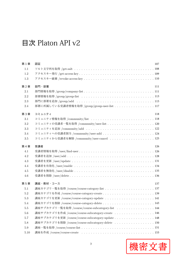# 目次 Platon API v2

| 第1章      | 認証                                                        | 107 |
|----------|-----------------------------------------------------------|-----|
| 1.1      |                                                           |     |
| 1.2      |                                                           |     |
| 1.3      |                                                           |     |
| 第2章      | 部門·部署                                                     | 111 |
| 2.1      |                                                           |     |
| 2.2      |                                                           |     |
| 2.3      |                                                           |     |
| 2.4      | 部署に所属している受講者情報を取得 /group/group-user-list 117              |     |
| 第3章      | コミュニティ                                                    | 118 |
| 3.1      | コミュニティ情報を取得 /community/list 118                           |     |
| 3.2      |                                                           |     |
| 3.3      | コミュニティを追加 /community/add .............................122 |     |
| 3.4      |                                                           |     |
| $3.5\,$  | コミュニティから受講者を解除 /community/user-cancel 125                 |     |
| 第4章      | 受講者                                                       | 126 |
| 4.1      |                                                           |     |
| 4.2      |                                                           |     |
| 4.3      |                                                           |     |
| 4.4      |                                                           |     |
| 4.5      |                                                           |     |
| 4.6      |                                                           |     |
| 第5章      | 講座・教材・コース                                                 | 137 |
| 5.1      |                                                           |     |
| 5.2      | 講座カテゴリを作成 /course/course-category-create 139              |     |
| $5.3\,$  |                                                           |     |
| $5.4\,$  |                                                           |     |
| $5.5\,$  | 講座サブカテゴリ一覧を取得 /course/course-subcategory-list  144        |     |
| 5.6      | 講座サブカテゴリを作成 /course/course-subcategory-create  146        |     |
| 5.7      | 講座サブカテゴリを更新 /course/course-subcategory-update 148         |     |
| 5.8      | 講座サブカテゴリを削除 /course/course-subcategory-delete 150         |     |
| $5.9\,$  |                                                           |     |
| $5.10\,$ |                                                           |     |

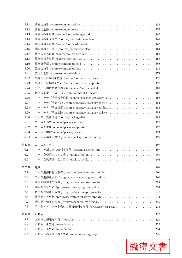| 5.11    |                                                 |
|---------|-------------------------------------------------|
| 5.12    |                                                 |
| 5.13    |                                                 |
| 5.14    |                                                 |
| 5.15    |                                                 |
| 5.16    |                                                 |
| 5.17    |                                                 |
| 5.18    |                                                 |
| 5.19    |                                                 |
| 5.20    |                                                 |
| 5.21    |                                                 |
| 5.22    |                                                 |
| 5.23    |                                                 |
| 5.24    | モバイル用代替動画の登録 /course/content-altfile  181       |
| 5.25    | 教材の破棄・クローズ /course/content-truncate 182         |
| 5.26    |                                                 |
| 5.27    | コースカテゴリを作成 /course/package-category-create  184 |
| 5.28    | コースカテゴリを更新 /course/package-category-update 186  |
| 5.29    |                                                 |
| 5.30    |                                                 |
| 5.31    |                                                 |
| 5.32    |                                                 |
| 5.33    |                                                 |
| 5.34    |                                                 |
| 第6章     | コース割り当て<br>197                                  |
| 6.1     | コースの割り当て情報を取得 /assign/assigned-info  197        |
| 6.2     | コースを受講者に割り当て /assign/assign  200                |
| $6.3\,$ | コースを受講者に割り当て /assign/revoke  202                |
| 第7章     | 進捗<br>204                                       |
| 7.1     |                                                 |
| 7.2     | コース進捗を更新 /progress/package-progress-update  206 |
| $7.3\,$ |                                                 |
| 7.4     | 講座進捗を更新 /progress/course-progress-update  210   |
| $7.5\,$ |                                                 |
| 7.6     | 教材進捗を更新 /progress/content-progress-update  214  |
| 7.7     |                                                 |
| 7.8     | テスト・アンケート教材の解答情報を取得 /progress/test-result  218  |
| 第8章     | お知らせ<br>220                                     |
| 8.1     | 220                                             |
| 8.2     |                                                 |
| 8.3     |                                                 |
| 8.4     |                                                 |
|         |                                                 |